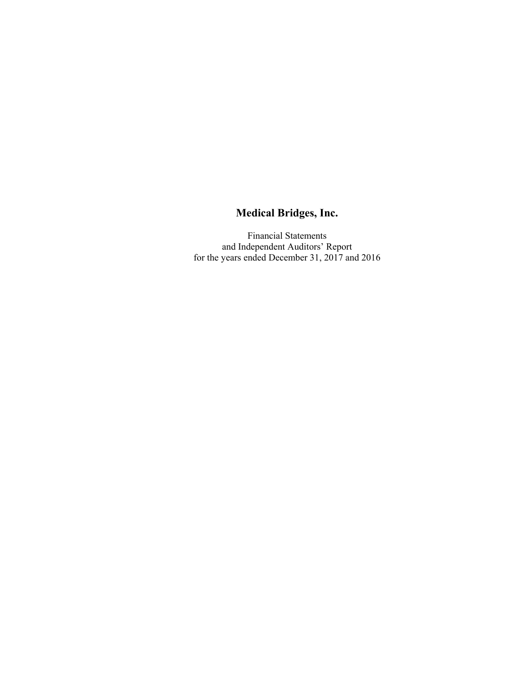Financial Statements and Independent Auditors' Report for the years ended December 31, 2017 and 2016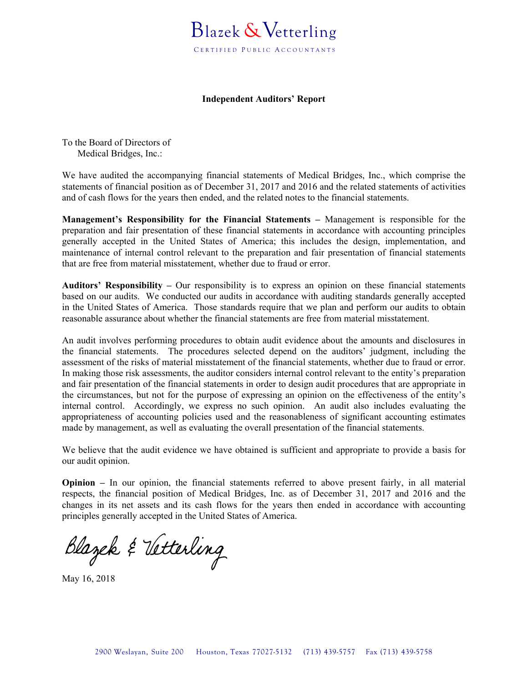

#### **Independent Auditors' Report**

To the Board of Directors of Medical Bridges, Inc.:

We have audited the accompanying financial statements of Medical Bridges, Inc., which comprise the statements of financial position as of December 31, 2017 and 2016 and the related statements of activities and of cash flows for the years then ended, and the related notes to the financial statements.

**Management's Responsibility for the Financial Statements –** Management is responsible for the preparation and fair presentation of these financial statements in accordance with accounting principles generally accepted in the United States of America; this includes the design, implementation, and maintenance of internal control relevant to the preparation and fair presentation of financial statements that are free from material misstatement, whether due to fraud or error.

**Auditors' Responsibility –** Our responsibility is to express an opinion on these financial statements based on our audits. We conducted our audits in accordance with auditing standards generally accepted in the United States of America. Those standards require that we plan and perform our audits to obtain reasonable assurance about whether the financial statements are free from material misstatement.

An audit involves performing procedures to obtain audit evidence about the amounts and disclosures in the financial statements. The procedures selected depend on the auditors' judgment, including the assessment of the risks of material misstatement of the financial statements, whether due to fraud or error. In making those risk assessments, the auditor considers internal control relevant to the entity's preparation and fair presentation of the financial statements in order to design audit procedures that are appropriate in the circumstances, but not for the purpose of expressing an opinion on the effectiveness of the entity's internal control. Accordingly, we express no such opinion. An audit also includes evaluating the appropriateness of accounting policies used and the reasonableness of significant accounting estimates made by management, as well as evaluating the overall presentation of the financial statements.

We believe that the audit evidence we have obtained is sufficient and appropriate to provide a basis for our audit opinion.

**Opinion –** In our opinion, the financial statements referred to above present fairly, in all material respects, the financial position of Medical Bridges, Inc. as of December 31, 2017 and 2016 and the changes in its net assets and its cash flows for the years then ended in accordance with accounting principles generally accepted in the United States of America.

Blazek & Vetterling

May 16, 2018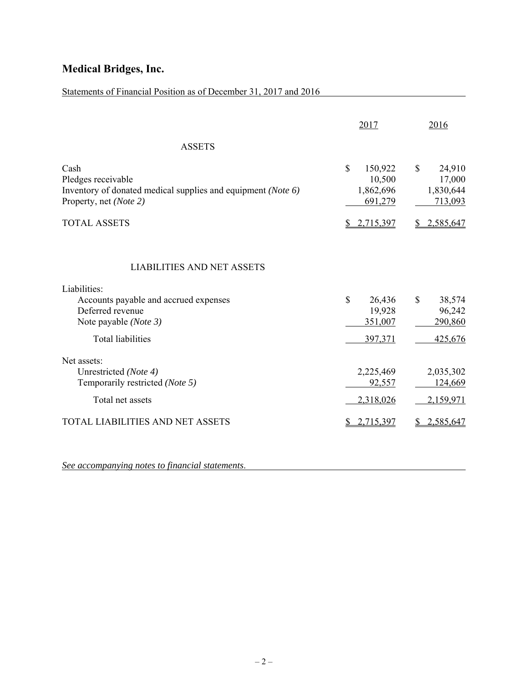Statements of Financial Position as of December 31, 2017 and 2016

|                                                                                                                                                                     | 2017                                                      | 2016                                                    |
|---------------------------------------------------------------------------------------------------------------------------------------------------------------------|-----------------------------------------------------------|---------------------------------------------------------|
| <b>ASSETS</b>                                                                                                                                                       |                                                           |                                                         |
| Cash<br>Pledges receivable<br>Inventory of donated medical supplies and equipment (Note 6)<br>Property, net (Note 2)                                                | $\mathbb{S}$<br>150,922<br>10,500<br>1,862,696<br>691,279 | \$<br>24,910<br>17,000<br>1,830,644<br>713,093          |
| <b>TOTAL ASSETS</b>                                                                                                                                                 | 2,715,397<br>S.                                           | 2,585,647                                               |
| <b>LIABILITIES AND NET ASSETS</b><br>Liabilities:<br>Accounts payable and accrued expenses<br>Deferred revenue<br>Note payable (Note 3)<br><b>Total liabilities</b> | \$<br>26,436<br>19,928<br>351,007<br>397,371              | $\mathcal{S}$<br>38,574<br>96,242<br>290,860<br>425,676 |
| Net assets:<br>Unrestricted (Note 4)<br>Temporarily restricted (Note 5)<br>Total net assets                                                                         | 2,225,469<br>92,557<br>2,318,026                          | 2,035,302<br>124,669<br>2,159,971                       |
| TOTAL LIABILITIES AND NET ASSETS                                                                                                                                    | 2,715,397<br>S                                            | 2,585,647<br>S                                          |
|                                                                                                                                                                     |                                                           |                                                         |

*See accompanying notes to financial statements*.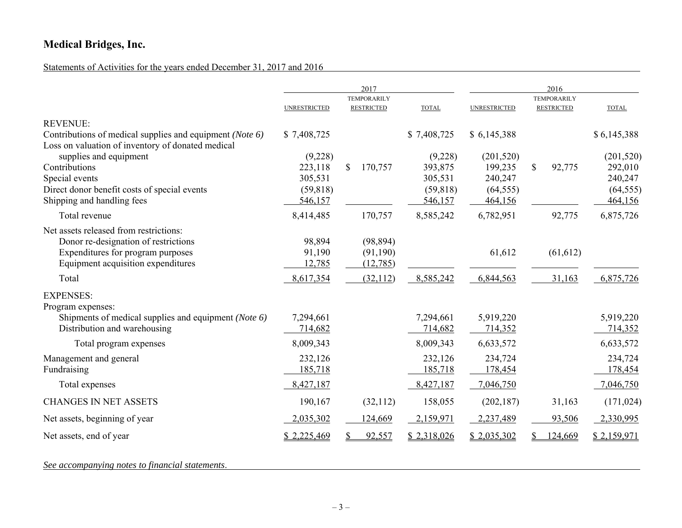## Statements of Activities for the years ended December 31, 2017 and 2016

|                                                          | 2017                |                                         |                    | 2016                  |                                         |                       |  |
|----------------------------------------------------------|---------------------|-----------------------------------------|--------------------|-----------------------|-----------------------------------------|-----------------------|--|
|                                                          | <b>UNRESTRICTED</b> | <b>TEMPORARILY</b><br><b>RESTRICTED</b> | <b>TOTAL</b>       | <b>UNRESTRICTED</b>   | <b>TEMPORARILY</b><br><b>RESTRICTED</b> | <b>TOTAL</b>          |  |
|                                                          |                     |                                         |                    |                       |                                         |                       |  |
| <b>REVENUE:</b>                                          |                     |                                         |                    |                       |                                         |                       |  |
| Contributions of medical supplies and equipment (Note 6) | \$7,408,725         |                                         | \$7,408,725        | \$6,145,388           |                                         | \$6,145,388           |  |
| Loss on valuation of inventory of donated medical        |                     |                                         |                    |                       |                                         |                       |  |
| supplies and equipment<br>Contributions                  | (9,228)<br>223,118  | \$<br>170,757                           | (9,228)<br>393,875 | (201, 520)<br>199,235 | $\mathbb{S}$<br>92,775                  | (201, 520)<br>292,010 |  |
| Special events                                           | 305,531             |                                         | 305,531            | 240,247               |                                         | 240,247               |  |
| Direct donor benefit costs of special events             | (59, 818)           |                                         | (59, 818)          | (64, 555)             |                                         | (64, 555)             |  |
| Shipping and handling fees                               | 546,157             |                                         | 546,157            | 464,156               |                                         | 464,156               |  |
|                                                          |                     |                                         |                    |                       |                                         |                       |  |
| Total revenue                                            | 8,414,485           | 170,757                                 | 8,585,242          | 6,782,951             | 92,775                                  | 6,875,726             |  |
| Net assets released from restrictions:                   |                     |                                         |                    |                       |                                         |                       |  |
| Donor re-designation of restrictions                     | 98,894              | (98, 894)                               |                    |                       |                                         |                       |  |
| Expenditures for program purposes                        | 91,190              | (91,190)                                |                    | 61,612                | (61, 612)                               |                       |  |
| Equipment acquisition expenditures                       | 12,785              | (12,785)                                |                    |                       |                                         |                       |  |
| Total                                                    | 8,617,354           | (32,112)                                | 8,585,242          | 6,844,563             | 31,163                                  | 6,875,726             |  |
| <b>EXPENSES:</b>                                         |                     |                                         |                    |                       |                                         |                       |  |
| Program expenses:                                        |                     |                                         |                    |                       |                                         |                       |  |
| Shipments of medical supplies and equipment (Note 6)     | 7,294,661           |                                         | 7,294,661          | 5,919,220             |                                         | 5,919,220             |  |
| Distribution and warehousing                             | 714,682             |                                         | 714,682            | 714,352               |                                         | 714,352               |  |
| Total program expenses                                   | 8,009,343           |                                         | 8,009,343          | 6,633,572             |                                         | 6,633,572             |  |
| Management and general                                   | 232,126             |                                         | 232,126            | 234,724               |                                         | 234,724               |  |
| Fundraising                                              | 185,718             |                                         | 185,718            | 178,454               |                                         | 178,454               |  |
| Total expenses                                           | 8,427,187           |                                         | 8,427,187          | 7,046,750             |                                         | 7,046,750             |  |
|                                                          |                     |                                         |                    |                       |                                         |                       |  |
| <b>CHANGES IN NET ASSETS</b>                             | 190,167             | (32, 112)                               | 158,055            | (202, 187)            | 31,163                                  | (171, 024)            |  |
| Net assets, beginning of year                            | 2,035,302           | 124,669                                 | 2,159,971          | 2,237,489             | 93,506                                  | 2,330,995             |  |
| Net assets, end of year                                  | \$2,225,469         | 92,557                                  | \$2,318,026        | \$2,035,302           | 124,669                                 | \$2,159,971           |  |

*See accompanying notes to financial statements*.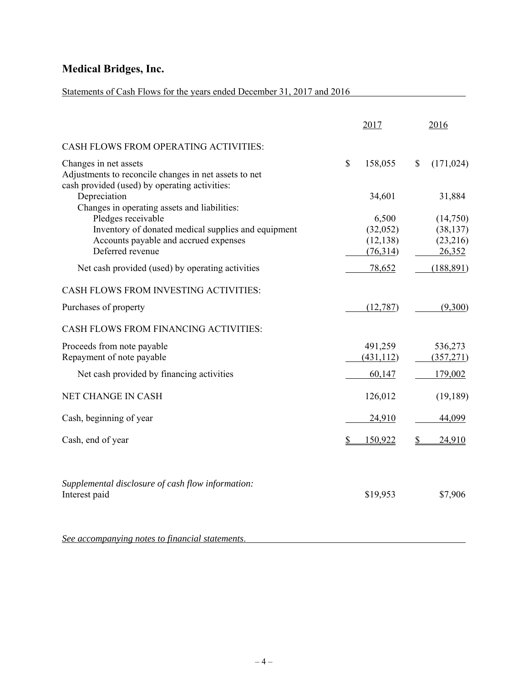# Statements of Cash Flows for the years ended December 31, 2017 and 2016

|                                                                                                                                 |    | 2017                  | 2016               |
|---------------------------------------------------------------------------------------------------------------------------------|----|-----------------------|--------------------|
| CASH FLOWS FROM OPERATING ACTIVITIES:                                                                                           |    |                       |                    |
| Changes in net assets<br>Adjustments to reconcile changes in net assets to net<br>cash provided (used) by operating activities: | \$ | 158,055               | \$<br>(171, 024)   |
| Depreciation<br>Changes in operating assets and liabilities:                                                                    |    | 34,601                | 31,884             |
| Pledges receivable                                                                                                              |    | 6,500                 | (14,750)           |
| Inventory of donated medical supplies and equipment                                                                             |    | (32,052)<br>(12, 138) | (38, 137)          |
| Accounts payable and accrued expenses<br>Deferred revenue                                                                       |    | (76,314)              | (23,216)<br>26,352 |
| Net cash provided (used) by operating activities                                                                                |    | 78,652                | (188, 891)         |
| CASH FLOWS FROM INVESTING ACTIVITIES:                                                                                           |    |                       |                    |
| Purchases of property                                                                                                           |    | (12,787)              | (9,300)            |
| CASH FLOWS FROM FINANCING ACTIVITIES:                                                                                           |    |                       |                    |
| Proceeds from note payable                                                                                                      |    | 491,259               | 536,273            |
| Repayment of note payable                                                                                                       |    | (431, 112)            | (357,271)          |
| Net cash provided by financing activities                                                                                       |    | 60,147                | 179,002            |
| NET CHANGE IN CASH                                                                                                              |    | 126,012               | (19, 189)          |
| Cash, beginning of year                                                                                                         |    | 24,910                | 44,099             |
| Cash, end of year                                                                                                               | S  | 150,922               | 24,910             |
| Supplemental disclosure of cash flow information:                                                                               |    | \$19,953              | \$7,906            |
| Interest paid                                                                                                                   |    |                       |                    |
| See accompanying notes to financial statements.                                                                                 |    |                       |                    |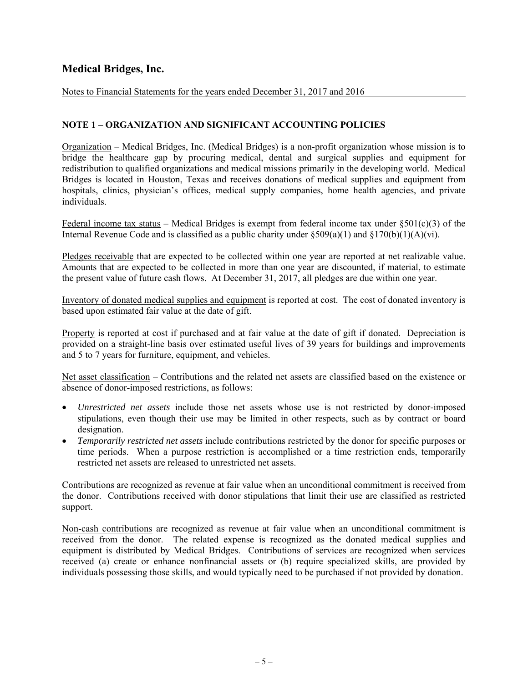Notes to Financial Statements for the years ended December 31, 2017 and 2016

## **NOTE 1 – ORGANIZATION AND SIGNIFICANT ACCOUNTING POLICIES**

Organization – Medical Bridges, Inc. (Medical Bridges) is a non-profit organization whose mission is to bridge the healthcare gap by procuring medical, dental and surgical supplies and equipment for redistribution to qualified organizations and medical missions primarily in the developing world. Medical Bridges is located in Houston, Texas and receives donations of medical supplies and equipment from hospitals, clinics, physician's offices, medical supply companies, home health agencies, and private individuals.

Federal income tax status – Medical Bridges is exempt from federal income tax under  $\S501(c)(3)$  of the Internal Revenue Code and is classified as a public charity under  $\S509(a)(1)$  and  $\S170(b)(1)(A)(vi)$ .

Pledges receivable that are expected to be collected within one year are reported at net realizable value. Amounts that are expected to be collected in more than one year are discounted, if material, to estimate the present value of future cash flows. At December 31, 2017, all pledges are due within one year.

Inventory of donated medical supplies and equipment is reported at cost. The cost of donated inventory is based upon estimated fair value at the date of gift.

Property is reported at cost if purchased and at fair value at the date of gift if donated. Depreciation is provided on a straight-line basis over estimated useful lives of 39 years for buildings and improvements and 5 to 7 years for furniture, equipment, and vehicles.

Net asset classification – Contributions and the related net assets are classified based on the existence or absence of donor-imposed restrictions, as follows:

- *Unrestricted net assets* include those net assets whose use is not restricted by donor-imposed stipulations, even though their use may be limited in other respects, such as by contract or board designation.
- *Temporarily restricted net assets* include contributions restricted by the donor for specific purposes or time periods. When a purpose restriction is accomplished or a time restriction ends, temporarily restricted net assets are released to unrestricted net assets.

Contributions are recognized as revenue at fair value when an unconditional commitment is received from the donor. Contributions received with donor stipulations that limit their use are classified as restricted support.

Non-cash contributions are recognized as revenue at fair value when an unconditional commitment is received from the donor. The related expense is recognized as the donated medical supplies and equipment is distributed by Medical Bridges. Contributions of services are recognized when services received (a) create or enhance nonfinancial assets or (b) require specialized skills, are provided by individuals possessing those skills, and would typically need to be purchased if not provided by donation.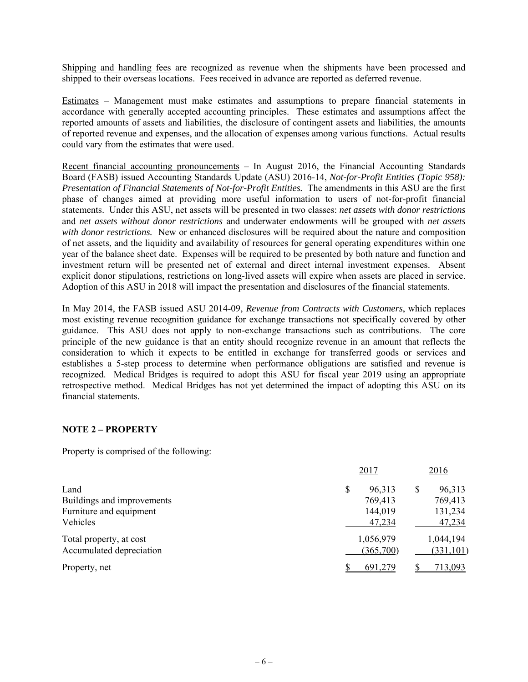Shipping and handling fees are recognized as revenue when the shipments have been processed and shipped to their overseas locations. Fees received in advance are reported as deferred revenue.

Estimates – Management must make estimates and assumptions to prepare financial statements in accordance with generally accepted accounting principles. These estimates and assumptions affect the reported amounts of assets and liabilities, the disclosure of contingent assets and liabilities, the amounts of reported revenue and expenses, and the allocation of expenses among various functions. Actual results could vary from the estimates that were used.

Recent financial accounting pronouncements – In August 2016, the Financial Accounting Standards Board (FASB) issued Accounting Standards Update (ASU) 2016-14, *Not-for-Profit Entities (Topic 958): Presentation of Financial Statements of Not-for-Profit Entities.* The amendments in this ASU are the first phase of changes aimed at providing more useful information to users of not-for-profit financial statements. Under this ASU, net assets will be presented in two classes: *net assets with donor restrictions* and *net assets without donor restrictions* and underwater endowments will be grouped with *net assets with donor restrictions.* New or enhanced disclosures will be required about the nature and composition of net assets, and the liquidity and availability of resources for general operating expenditures within one year of the balance sheet date. Expenses will be required to be presented by both nature and function and investment return will be presented net of external and direct internal investment expenses. Absent explicit donor stipulations, restrictions on long-lived assets will expire when assets are placed in service. Adoption of this ASU in 2018 will impact the presentation and disclosures of the financial statements.

In May 2014, the FASB issued ASU 2014-09, *Revenue from Contracts with Customers*, which replaces most existing revenue recognition guidance for exchange transactions not specifically covered by other guidance. This ASU does not apply to non-exchange transactions such as contributions. The core principle of the new guidance is that an entity should recognize revenue in an amount that reflects the consideration to which it expects to be entitled in exchange for transferred goods or services and establishes a 5-step process to determine when performance obligations are satisfied and revenue is recognized. Medical Bridges is required to adopt this ASU for fiscal year 2019 using an appropriate retrospective method. Medical Bridges has not yet determined the impact of adopting this ASU on its financial statements.

### **NOTE 2 – PROPERTY**

Property is comprised of the following:

|                                                                           |    | 2017                                   |   | 2016                                   |  |
|---------------------------------------------------------------------------|----|----------------------------------------|---|----------------------------------------|--|
| Land<br>Buildings and improvements<br>Furniture and equipment<br>Vehicles | \$ | 96,313<br>769,413<br>144,019<br>47,234 | S | 96,313<br>769,413<br>131,234<br>47,234 |  |
| Total property, at cost<br>Accumulated depreciation                       |    | 1,056,979<br>(365,700)                 |   | 1,044,194<br>(331, 101)                |  |
| Property, net                                                             |    | 691,279                                |   | 713,093                                |  |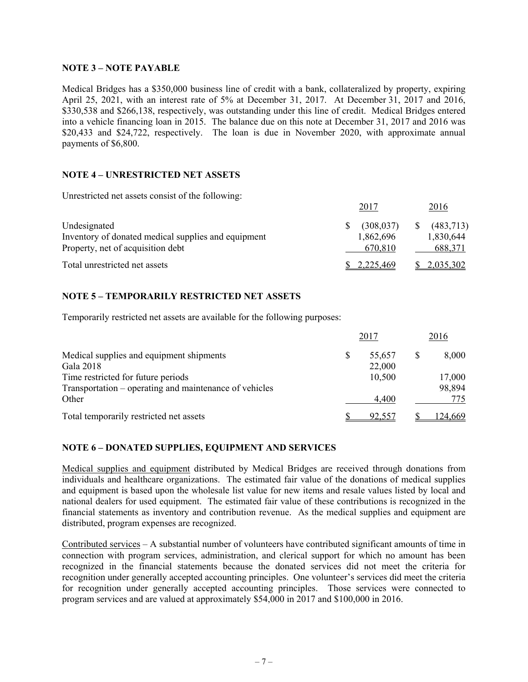### **NOTE 3 – NOTE PAYABLE**

Medical Bridges has a \$350,000 business line of credit with a bank, collateralized by property, expiring April 25, 2021, with an interest rate of 5% at December 31, 2017. At December 31, 2017 and 2016, \$330,538 and \$266,138, respectively, was outstanding under this line of credit. Medical Bridges entered into a vehicle financing loan in 2015. The balance due on this note at December 31, 2017 and 2016 was \$20,433 and \$24,722, respectively. The loan is due in November 2020, with approximate annual payments of \$6,800.

### **NOTE 4 – UNRESTRICTED NET ASSETS**

Unrestricted net assets consist of the following:

|                                                     | 2017                  | 2016        |
|-----------------------------------------------------|-----------------------|-------------|
| Undesignated                                        | (308, 037)            | (483,713)   |
| Inventory of donated medical supplies and equipment | 1,862,696             | 1,830,644   |
| Property, net of acquisition debt                   | 670.810               | 688,371     |
| Total unrestricted net assets                       | $\frac{$2,225,469}{}$ | \$2,035,302 |

### **NOTE 5 – TEMPORARILY RESTRICTED NET ASSETS**

Temporarily restricted net assets are available for the following purposes:

|                                                        |   | 2017   |   | 2016    |
|--------------------------------------------------------|---|--------|---|---------|
| Medical supplies and equipment shipments               | S | 55,657 | S | 8,000   |
| Gala 2018                                              |   | 22,000 |   |         |
| Time restricted for future periods                     |   | 10,500 |   | 17,000  |
| Transportation – operating and maintenance of vehicles |   |        |   | 98,894  |
| Other                                                  |   | 4,400  |   | 775     |
| Total temporarily restricted net assets                |   | 92,557 |   | 124,669 |

### **NOTE 6 – DONATED SUPPLIES, EQUIPMENT AND SERVICES**

Medical supplies and equipment distributed by Medical Bridges are received through donations from individuals and healthcare organizations. The estimated fair value of the donations of medical supplies and equipment is based upon the wholesale list value for new items and resale values listed by local and national dealers for used equipment. The estimated fair value of these contributions is recognized in the financial statements as inventory and contribution revenue. As the medical supplies and equipment are distributed, program expenses are recognized.

Contributed services – A substantial number of volunteers have contributed significant amounts of time in connection with program services, administration, and clerical support for which no amount has been recognized in the financial statements because the donated services did not meet the criteria for recognition under generally accepted accounting principles. One volunteer's services did meet the criteria for recognition under generally accepted accounting principles. Those services were connected to program services and are valued at approximately \$54,000 in 2017 and \$100,000 in 2016.